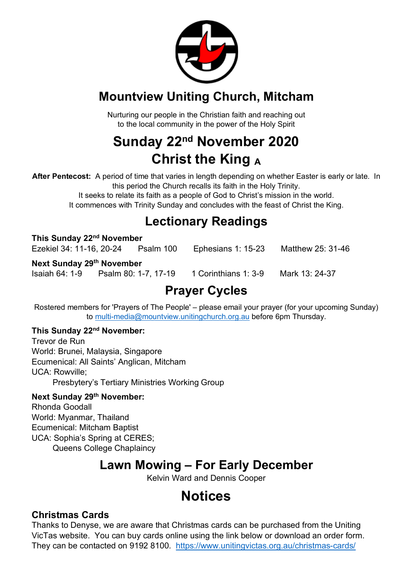

## **Mountview Uniting Church, Mitcham**

Nurturing our people in the Christian faith and reaching out to the local community in the power of the Holy Spirit

# **Sunday 22nd November 2020 Christ the King <sup>A</sup>**

**After Pentecost:** A period of time that varies in length depending on whether Easter is early or late. In this period the Church recalls its faith in the Holy Trinity.

> It seeks to relate its faith as a people of God to Christ's mission in the world. It commences with Trinity Sunday and concludes with the feast of Christ the King.

## **Lectionary Readings**

| This Sunday 22 <sup>nd</sup> November                   |  |                      |                      |                   |
|---------------------------------------------------------|--|----------------------|----------------------|-------------------|
| Ezekiel 34: 11-16, 20-24                                |  | Psalm 100            | Ephesians 1: 15-23   | Matthew 25: 31-46 |
| Next Sunday 29 <sup>th</sup> November<br>Isaiah 64: 1-9 |  | Psalm 80: 1-7, 17-19 | 1 Corinthians 1: 3-9 | Mark 13: 24-37    |
|                                                         |  |                      |                      |                   |

## **Prayer Cycles**

Rostered members for 'Prayers of The People' – please email your prayer (for your upcoming Sunday) to multi-media@mountview.unitingchurch.org.au before 6pm Thursday.

#### **This Sunday 22nd November:**

Trevor de Run World: Brunei, Malaysia, Singapore Ecumenical: All Saints' Anglican, Mitcham UCA: Rowville; Presbytery's Tertiary Ministries Working Group

#### **Next Sunday 29th November:**

Rhonda Goodall World: Myanmar, Thailand Ecumenical: Mitcham Baptist UCA: Sophia's Spring at CERES; Queens College Chaplaincy

## **Lawn Mowing – For Early December**

Kelvin Ward and Dennis Cooper

## **Notices**

#### **Christmas Cards**

Thanks to Denyse, we are aware that Christmas cards can be purchased from the Uniting VicTas website. You can buy cards online using the link below or download an order form. They can be contacted on 9192 8100. https://www.unitingvictas.org.au/christmas-cards/